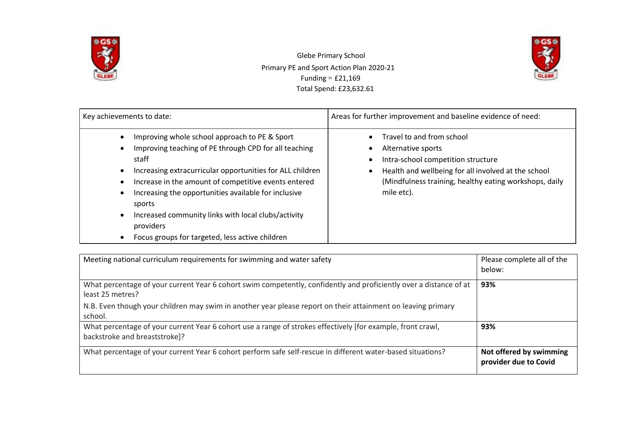

 Glebe Primary School Primary PE and Sport Action Plan 2020-21 Funding  $=$  £21,169 Total Spend: £23,632.61



| Key achievements to date:                                                                                                                                                                                                                                                                                                                                                                                                                  | Areas for further improvement and baseline evidence of need:                                                                                                                                                         |  |  |
|--------------------------------------------------------------------------------------------------------------------------------------------------------------------------------------------------------------------------------------------------------------------------------------------------------------------------------------------------------------------------------------------------------------------------------------------|----------------------------------------------------------------------------------------------------------------------------------------------------------------------------------------------------------------------|--|--|
| Improving whole school approach to PE & Sport<br>Improving teaching of PE through CPD for all teaching<br>staff<br>Increasing extracurricular opportunities for ALL children<br>Increase in the amount of competitive events entered<br>Increasing the opportunities available for inclusive<br>sports<br>Increased community links with local clubs/activity<br>$\bullet$<br>providers<br>Focus groups for targeted, less active children | Travel to and from school<br>Alternative sports<br>Intra-school competition structure<br>Health and wellbeing for all involved at the school<br>(Mindfulness training, healthy eating workshops, daily<br>mile etc). |  |  |

| Meeting national curriculum requirements for swimming and water safety                                                                       | Please complete all of the<br>below:             |
|----------------------------------------------------------------------------------------------------------------------------------------------|--------------------------------------------------|
| What percentage of your current Year 6 cohort swim competently, confidently and proficiently over a distance of at<br>least 25 metres?       | 93%                                              |
| N.B. Even though your children may swim in another year please report on their attainment on leaving primary<br>school.                      |                                                  |
| What percentage of your current Year 6 cohort use a range of strokes effectively [for example, front crawl,<br>backstroke and breaststroke]? | 93%                                              |
| What percentage of your current Year 6 cohort perform safe self-rescue in different water-based situations?                                  | Not offered by swimming<br>provider due to Covid |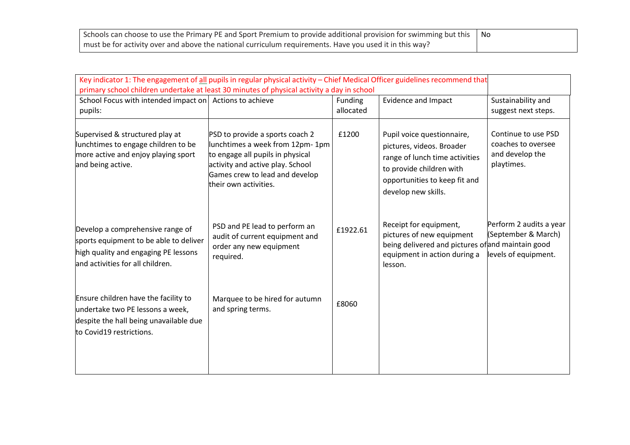| Schools can choose to use the Primary PE and Sport Premium to provide additional provision for swimming but this $\ $ No |  |
|--------------------------------------------------------------------------------------------------------------------------|--|
| must be for activity over and above the national curriculum requirements. Have you used it in this way?                  |  |

| Key indicator 1: The engagement of all pupils in regular physical activity - Chief Medical Officer guidelines recommend that<br>primary school children undertake at least 30 minutes of physical activity a day in school |                                                                                                                                                                                                       |                      |                                                                                                                                                                               |                                                                            |  |
|----------------------------------------------------------------------------------------------------------------------------------------------------------------------------------------------------------------------------|-------------------------------------------------------------------------------------------------------------------------------------------------------------------------------------------------------|----------------------|-------------------------------------------------------------------------------------------------------------------------------------------------------------------------------|----------------------------------------------------------------------------|--|
| School Focus with intended impact on Actions to achieve<br>pupils:                                                                                                                                                         |                                                                                                                                                                                                       | Funding<br>allocated | <b>Evidence and Impact</b>                                                                                                                                                    | Sustainability and<br>suggest next steps.                                  |  |
| Supervised & structured play at<br>lunchtimes to engage children to be<br>more active and enjoy playing sport<br>and being active.                                                                                         | PSD to provide a sports coach 2<br>lunchtimes a week from 12pm-1pm<br>to engage all pupils in physical<br>activity and active play. School<br>Games crew to lead and develop<br>their own activities. | £1200                | Pupil voice questionnaire,<br>pictures, videos. Broader<br>range of lunch time activities<br>to provide children with<br>opportunities to keep fit and<br>develop new skills. | Continue to use PSD<br>coaches to oversee<br>and develop the<br>playtimes. |  |
| Develop a comprehensive range of<br>sports equipment to be able to deliver<br>high quality and engaging PE lessons<br>and activities for all children.                                                                     | PSD and PE lead to perform an<br>audit of current equipment and<br>order any new equipment<br>required.                                                                                               | £1922.61             | Receipt for equipment,<br>pictures of new equipment<br>being delivered and pictures of and maintain good<br>equipment in action during a<br>lesson.                           | Perform 2 audits a year<br>(September & March)<br>levels of equipment.     |  |
| Ensure children have the facility to<br>undertake two PE lessons a week,<br>despite the hall being unavailable due<br>to Covid19 restrictions.                                                                             | Marquee to be hired for autumn<br>and spring terms.                                                                                                                                                   | £8060                |                                                                                                                                                                               |                                                                            |  |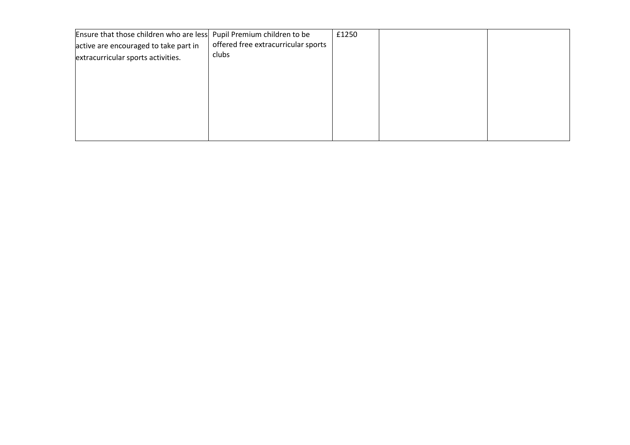| Ensure that those children who are less Pupil Premium children to be |                                     | £1250 |  |
|----------------------------------------------------------------------|-------------------------------------|-------|--|
| active are encouraged to take part in                                | offered free extracurricular sports |       |  |
| extracurricular sports activities.                                   | clubs                               |       |  |
|                                                                      |                                     |       |  |
|                                                                      |                                     |       |  |
|                                                                      |                                     |       |  |
|                                                                      |                                     |       |  |
|                                                                      |                                     |       |  |
|                                                                      |                                     |       |  |
|                                                                      |                                     |       |  |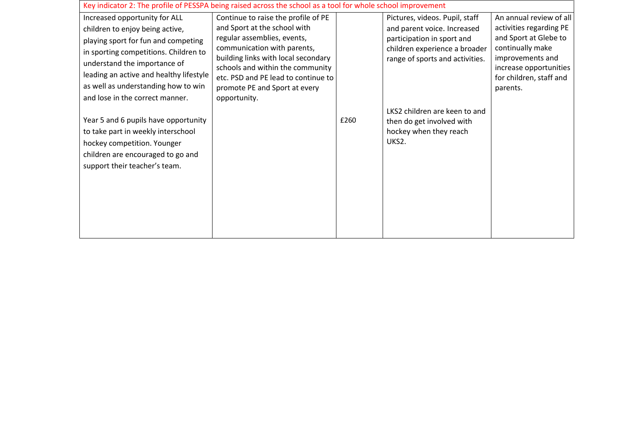| Key indicator 2: The profile of PESSPA being raised across the school as a tool for whole school improvement                                                                                                                                                       |                                                                                                                                                                                                                                                                                      |      |                                                                                                                                                                 |                                                                                                                                                                                      |  |
|--------------------------------------------------------------------------------------------------------------------------------------------------------------------------------------------------------------------------------------------------------------------|--------------------------------------------------------------------------------------------------------------------------------------------------------------------------------------------------------------------------------------------------------------------------------------|------|-----------------------------------------------------------------------------------------------------------------------------------------------------------------|--------------------------------------------------------------------------------------------------------------------------------------------------------------------------------------|--|
| Increased opportunity for ALL<br>children to enjoy being active,<br>playing sport for fun and competing<br>in sporting competitions. Children to<br>understand the importance of<br>leading an active and healthy lifestyle<br>as well as understanding how to win | Continue to raise the profile of PE<br>and Sport at the school with<br>regular assemblies, events,<br>communication with parents,<br>building links with local secondary<br>schools and within the community<br>etc. PSD and PE lead to continue to<br>promote PE and Sport at every |      | Pictures, videos. Pupil, staff<br>and parent voice. Increased<br>participation in sport and<br>children experience a broader<br>range of sports and activities. | An annual review of all<br>activities regarding PE<br>and Sport at Glebe to<br>continually make<br>improvements and<br>increase opportunities<br>for children, staff and<br>parents. |  |
| and lose in the correct manner.<br>Year 5 and 6 pupils have opportunity<br>to take part in weekly interschool<br>hockey competition. Younger<br>children are encouraged to go and<br>support their teacher's team.                                                 | opportunity.                                                                                                                                                                                                                                                                         | £260 | LKS2 children are keen to and<br>then do get involved with<br>hockey when they reach<br>UKS2.                                                                   |                                                                                                                                                                                      |  |
|                                                                                                                                                                                                                                                                    |                                                                                                                                                                                                                                                                                      |      |                                                                                                                                                                 |                                                                                                                                                                                      |  |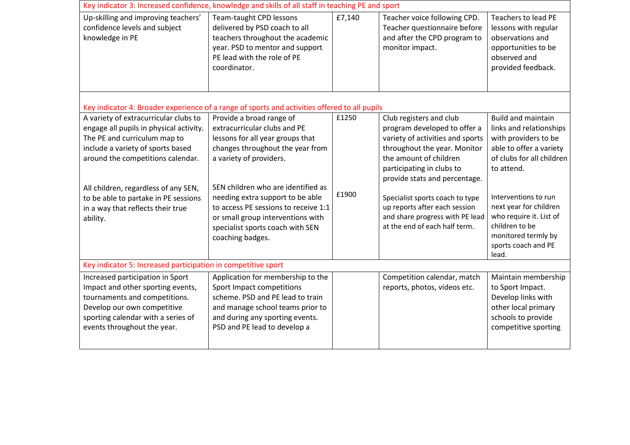| Key indicator 3: Increased confidence, knowledge and skills of all staff in teaching PE and sport                                                                                                                                                                                                                           |                                                                                                                                                                                                                                                                                                                                                        |                |                                                                                                                                                                                                                                                                                                                                                             |                                                                                                                                                                                                                                                   |  |
|-----------------------------------------------------------------------------------------------------------------------------------------------------------------------------------------------------------------------------------------------------------------------------------------------------------------------------|--------------------------------------------------------------------------------------------------------------------------------------------------------------------------------------------------------------------------------------------------------------------------------------------------------------------------------------------------------|----------------|-------------------------------------------------------------------------------------------------------------------------------------------------------------------------------------------------------------------------------------------------------------------------------------------------------------------------------------------------------------|---------------------------------------------------------------------------------------------------------------------------------------------------------------------------------------------------------------------------------------------------|--|
| Up-skilling and improving teachers'<br>confidence levels and subject<br>knowledge in PE                                                                                                                                                                                                                                     | Team-taught CPD lessons<br>delivered by PSD coach to all<br>teachers throughout the academic<br>year. PSD to mentor and support<br>PE lead with the role of PE<br>coordinator.                                                                                                                                                                         | £7,140         | Teacher voice following CPD.<br>Teacher questionnaire before<br>and after the CPD program to<br>monitor impact.                                                                                                                                                                                                                                             | <b>Teachers to lead PE</b><br>lessons with regular<br>observations and<br>opportunities to be<br>observed and<br>provided feedback.                                                                                                               |  |
| Key indicator 4: Broader experience of a range of sports and activities offered to all pupils                                                                                                                                                                                                                               |                                                                                                                                                                                                                                                                                                                                                        |                |                                                                                                                                                                                                                                                                                                                                                             |                                                                                                                                                                                                                                                   |  |
| A variety of extracurricular clubs to<br>engage all pupils in physical activity.<br>The PE and curriculum map to<br>include a variety of sports based<br>around the competitions calendar.<br>All children, regardless of any SEN,<br>to be able to partake in PE sessions<br>in a way that reflects their true<br>ability. | Provide a broad range of<br>extracurricular clubs and PE<br>lessons for all year groups that<br>changes throughout the year from<br>a variety of providers.<br>SEN children who are identified as<br>needing extra support to be able<br>to access PE sessions to receive 1:1<br>or small group interventions with<br>specialist sports coach with SEN | £1250<br>£1900 | Club registers and club<br>program developed to offer a<br>variety of activities and sports<br>throughout the year. Monitor<br>the amount of children<br>participating in clubs to<br>provide stats and percentage.<br>Specialist sports coach to type<br>up reports after each session<br>and share progress with PE lead<br>at the end of each half term. | <b>Build and maintain</b><br>links and relationships<br>with providers to be<br>able to offer a variety<br>of clubs for all children<br>to attend.<br>Interventions to run<br>next year for children<br>who require it. List of<br>children to be |  |
|                                                                                                                                                                                                                                                                                                                             | coaching badges.                                                                                                                                                                                                                                                                                                                                       |                |                                                                                                                                                                                                                                                                                                                                                             | monitored termly by<br>sports coach and PE<br>lead.                                                                                                                                                                                               |  |
| Key indicator 5: Increased participation in competitive sport                                                                                                                                                                                                                                                               |                                                                                                                                                                                                                                                                                                                                                        |                |                                                                                                                                                                                                                                                                                                                                                             |                                                                                                                                                                                                                                                   |  |
| Increased participation in Sport<br>Impact and other sporting events,<br>tournaments and competitions.<br>Develop our own competitive<br>sporting calendar with a series of<br>events throughout the year.                                                                                                                  | Application for membership to the<br>Sport Impact competitions<br>scheme. PSD and PE lead to train<br>and manage school teams prior to<br>and during any sporting events.<br>PSD and PE lead to develop a                                                                                                                                              |                | Competition calendar, match<br>reports, photos, videos etc.                                                                                                                                                                                                                                                                                                 | Maintain membership<br>to Sport Impact.<br>Develop links with<br>other local primary<br>schools to provide<br>competitive sporting                                                                                                                |  |